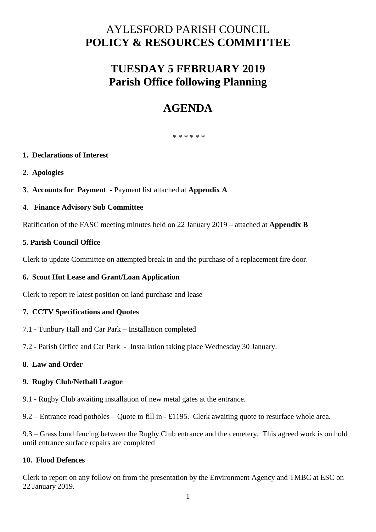# AYLESFORD PARISH COUNCIL **POLICY & RESOURCES COMMITTEE**

# **TUESDAY 5 FEBRUARY 2019 Parish Office following Planning**

# **AGENDA**

\* \* \* \* \* \*

# **1. Declarations of Interest**

- **2. Apologies**
- **3**. **Accounts for Payment -** Payment list attached at **Appendix A**

# **4**. **Finance Advisory Sub Committee**

Ratification of the FASC meeting minutes held on 22 January 2019 – attached at **Appendix B**

# **5. Parish Council Office**

Clerk to update Committee on attempted break in and the purchase of a replacement fire door.

#### **6. Scout Hut Lease and Grant/Loan Application**

Clerk to report re latest position on land purchase and lease

#### **7. CCTV Specifications and Quotes**

- 7.1 Tunbury Hall and Car Park Installation completed
- 7.2 Parish Office and Car Park Installation taking place Wednesday 30 January.

#### **8. Law and Order**

#### **9. Rugby Club/Netball League**

9.1 - Rugby Club awaiting installation of new metal gates at the entrance.

9.2 – Entrance road potholes – Quote to fill in - £1195. Clerk awaiting quote to resurface whole area.

9.3 – Grass bund fencing between the Rugby Club entrance and the cemetery. This agreed work is on hold until entrance surface repairs are completed

#### **10. Flood Defences**

Clerk to report on any follow on from the presentation by the Environment Agency and TMBC at ESC on 22 January 2019.